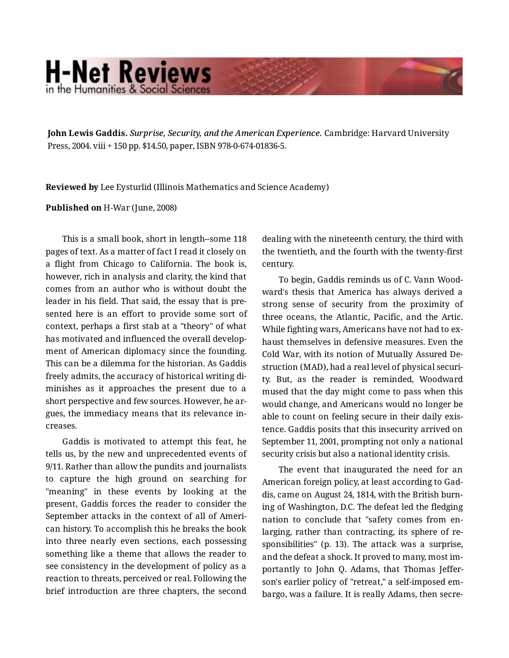## **H-Net Reviews** in the Humanities & Social Sciene

**John Lewis Gaddis.** *Surprise, Security, and the American Experience.* Cambridge: Harvard University Press, 2004. viii + 150 pp. \$14.50, paper, ISBN 978-0-674-01836-5.

**Reviewed by** Lee Eysturlid (Illinois Mathematics and Science Academy)

## **Published on** H-War (June, 2008)

This is a small book, short in length--some 118 pages of text. As a matter of fact I read it closely on a flight from Chicago to California. The book is, however, rich in analysis and clarity, the kind that comes from an author who is without doubt the leader in his field. That said, the essay that is pre‐ sented here is an effort to provide some sort of context, perhaps a first stab at a "theory" of what has motivated and influenced the overall develop‐ ment of American diplomacy since the founding. This can be a dilemma for the historian. As Gaddis freely admits, the accuracy of historical writing di‐ minishes as it approaches the present due to a short perspective and few sources. However, he argues, the immediacy means that its relevance in‐ creases.

Gaddis is motivated to attempt this feat, he tells us, by the new and unprecedented events of 9/11. Rather than allow the pundits and journalists to capture the high ground on searching for "meaning" in these events by looking at the present, Gaddis forces the reader to consider the September attacks in the context of all of Ameri‐ can history. To accomplish this he breaks the book into three nearly even sections, each possessing something like a theme that allows the reader to see consistency in the development of policy as a reaction to threats, perceived or real. Following the brief introduction are three chapters, the second

dealing with the nineteenth century, the third with the twentieth, and the fourth with the twenty-first century.

To begin, Gaddis reminds us of C. Vann Wood‐ ward's thesis that America has always derived a strong sense of security from the proximity of three oceans, the Atlantic, Pacific, and the Artic. While fighting wars, Americans have not had to exhaust themselves in defensive measures. Even the Cold War, with its notion of Mutually Assured De‐ struction (MAD), had a real level of physical securi‐ ty. But, as the reader is reminded, Woodward mused that the day might come to pass when this would change, and Americans would no longer be able to count on feeling secure in their daily exis‐ tence. Gaddis posits that this insecurity arrived on September 11, 2001, prompting not only a national security crisis but also a national identity crisis.

The event that inaugurated the need for an American foreign policy, at least according to Gad‐ dis, came on August 24, 1814, with the British burn‐ ing of Washington, D.C. The defeat led the fledging nation to conclude that "safety comes from en‐ larging, rather than contracting, its sphere of re‐ sponsibilities" (p. 13). The attack was a surprise, and the defeat a shock. It proved to many, most im‐ portantly to John Q. Adams, that Thomas Jeffer‐ son's earlier policy of "retreat," a self-imposed em‐ bargo, was a failure. It is really Adams, then secre‐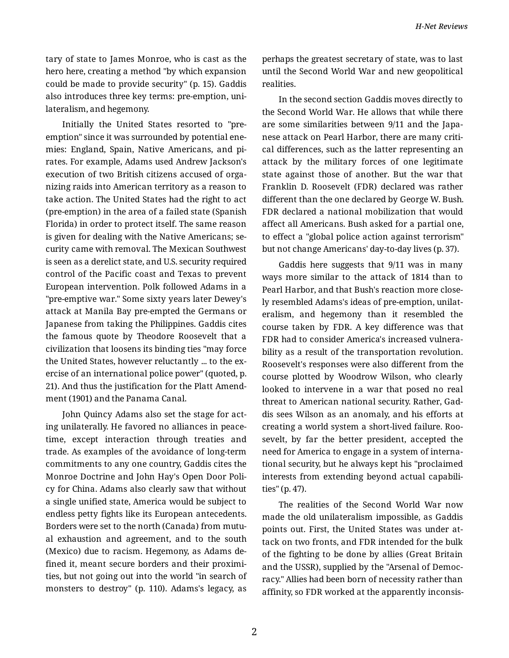tary of state to James Monroe, who is cast as the hero here, creating a method "by which expansion could be made to provide security" (p. 15). Gaddis also introduces three key terms: pre-emption, uni‐ lateralism, and hegemony.

Initially the United States resorted to "preemption" since it was surrounded by potential ene‐ mies: England, Spain, Native Americans, and pi‐ rates. For example, Adams used Andrew Jackson's execution of two British citizens accused of orga‐ nizing raids into American territory as a reason to take action. The United States had the right to act (pre-emption) in the area of a failed state (Spanish Florida) in order to protect itself. The same reason is given for dealing with the Native Americans; se‐ curity came with removal. The Mexican Southwest is seen as a derelict state, and U.S. security required control of the Pacific coast and Texas to prevent European intervention. Polk followed Adams in a "pre-emptive war." Some sixty years later Dewey's attack at Manila Bay pre-empted the Germans or Japanese from taking the Philippines. Gaddis cites the famous quote by Theodore Roosevelt that a civilization that loosens its binding ties "may force the United States, however reluctantly ... to the ex‐ ercise of an international police power" (quoted, p. 21). And thus the justification for the Platt Amend‐ ment (1901) and the Panama Canal.

John Quincy Adams also set the stage for act‐ ing unilaterally. He favored no alliances in peace‐ time, except interaction through treaties and trade. As examples of the avoidance of long-term commitments to any one country, Gaddis cites the Monroe Doctrine and John Hay's Open Door Poli‐ cy for China. Adams also clearly saw that without a single unified state, America would be subject to endless petty fights like its European antecedents. Borders were set to the north (Canada) from mutu‐ al exhaustion and agreement, and to the south (Mexico) due to racism. Hegemony, as Adams de‐ fined it, meant secure borders and their proximi‐ ties, but not going out into the world "in search of monsters to destroy" (p. 110). Adams's legacy, as

perhaps the greatest secretary of state, was to last until the Second World War and new geopolitical realities.

In the second section Gaddis moves directly to the Second World War. He allows that while there are some similarities between 9/11 and the Japa‐ nese attack on Pearl Harbor, there are many criti‐ cal differences, such as the latter representing an attack by the military forces of one legitimate state against those of another. But the war that Franklin D. Roosevelt (FDR) declared was rather different than the one declared by George W. Bush. FDR declared a national mobilization that would affect all Americans. Bush asked for a partial one, to effect a "global police action against terrorism" but not change Americans' day-to-day lives (p. 37).

Gaddis here suggests that 9/11 was in many ways more similar to the attack of 1814 than to Pearl Harbor, and that Bush's reaction more close‐ ly resembled Adams's ideas of pre-emption, unilat‐ eralism, and hegemony than it resembled the course taken by FDR. A key difference was that FDR had to consider America's increased vulnera‐ bility as a result of the transportation revolution. Roosevelt's responses were also different from the course plotted by Woodrow Wilson, who clearly looked to intervene in a war that posed no real threat to American national security. Rather, Gad‐ dis sees Wilson as an anomaly, and his efforts at creating a world system a short-lived failure. Roo‐ sevelt, by far the better president, accepted the need for America to engage in a system of interna‐ tional security, but he always kept his "proclaimed interests from extending beyond actual capabili‐ ties" (p. 47).

The realities of the Second World War now made the old unilateralism impossible, as Gaddis points out. First, the United States was under at‐ tack on two fronts, and FDR intended for the bulk of the fighting to be done by allies (Great Britain and the USSR), supplied by the "Arsenal of Democ‐ racy." Allies had been born of necessity rather than affinity, so FDR worked at the apparently inconsis‐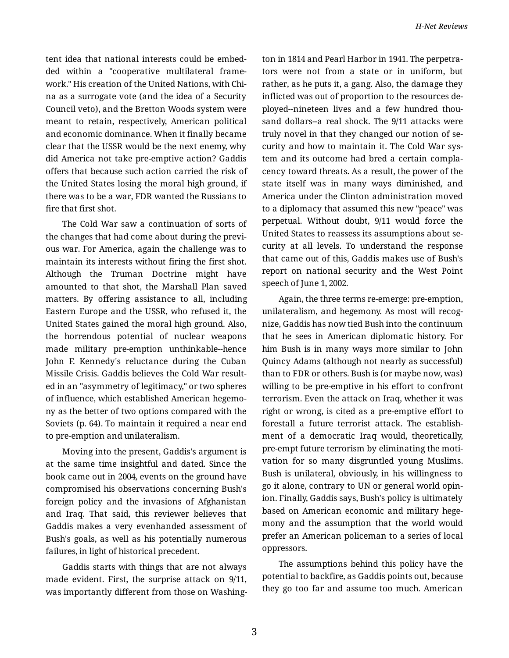tent idea that national interests could be embed‐ ded within a "cooperative multilateral frame‐ work." His creation of the United Nations, with Chi‐ na as a surrogate vote (and the idea of a Security Council veto), and the Bretton Woods system were meant to retain, respectively, American political and economic dominance. When it finally became clear that the USSR would be the next enemy, why did America not take pre-emptive action? Gaddis offers that because such action carried the risk of the United States losing the moral high ground, if there was to be a war, FDR wanted the Russians to fire that first shot.

The Cold War saw a continuation of sorts of the changes that had come about during the previ‐ ous war. For America, again the challenge was to maintain its interests without firing the first shot. Although the Truman Doctrine might have amounted to that shot, the Marshall Plan saved matters. By offering assistance to all, including Eastern Europe and the USSR, who refused it, the United States gained the moral high ground. Also, the horrendous potential of nuclear weapons made military pre-emption unthinkable--hence John F. Kennedy's reluctance during the Cuban Missile Crisis. Gaddis believes the Cold War result‐ ed in an "asymmetry of legitimacy," or two spheres of influence, which established American hegemo‐ ny as the better of two options compared with the Soviets (p. 64). To maintain it required a near end to pre-emption and unilateralism.

Moving into the present, Gaddis's argument is at the same time insightful and dated. Since the book came out in 2004, events on the ground have compromised his observations concerning Bush's foreign policy and the invasions of Afghanistan and Iraq. That said, this reviewer believes that Gaddis makes a very evenhanded assessment of Bush's goals, as well as his potentially numerous failures, in light of historical precedent.

Gaddis starts with things that are not always made evident. First, the surprise attack on 9/11, was importantly different from those on Washing‐ ton in 1814 and Pearl Harbor in 1941. The perpetra‐ tors were not from a state or in uniform, but rather, as he puts it, a gang. Also, the damage they inflicted was out of proportion to the resources de‐ ployed--nineteen lives and a few hundred thou‐ sand dollars--a real shock. The 9/11 attacks were truly novel in that they changed our notion of se‐ curity and how to maintain it. The Cold War sys‐ tem and its outcome had bred a certain compla‐ cency toward threats. As a result, the power of the state itself was in many ways diminished, and America under the Clinton administration moved to a diplomacy that assumed this new "peace" was perpetual. Without doubt, 9/11 would force the United States to reassess its assumptions about se‐ curity at all levels. To understand the response that came out of this, Gaddis makes use of Bush's report on national security and the West Point speech of June 1, 2002.

Again, the three terms re-emerge: pre-emption, unilateralism, and hegemony. As most will recog‐ nize, Gaddis has now tied Bush into the continuum that he sees in American diplomatic history. For him Bush is in many ways more similar to John Quincy Adams (although not nearly as successful) than to FDR or others. Bush is (or maybe now, was) willing to be pre-emptive in his effort to confront terrorism. Even the attack on Iraq, whether it was right or wrong, is cited as a pre-emptive effort to forestall a future terrorist attack. The establish‐ ment of a democratic Iraq would, theoretically, pre-empt future terrorism by eliminating the moti‐ vation for so many disgruntled young Muslims. Bush is unilateral, obviously, in his willingness to go it alone, contrary to UN or general world opin‐ ion. Finally, Gaddis says, Bush's policy is ultimately based on American economic and military hege‐ mony and the assumption that the world would prefer an American policeman to a series of local oppressors.

The assumptions behind this policy have the potential to backfire, as Gaddis points out, because they go too far and assume too much. American

3